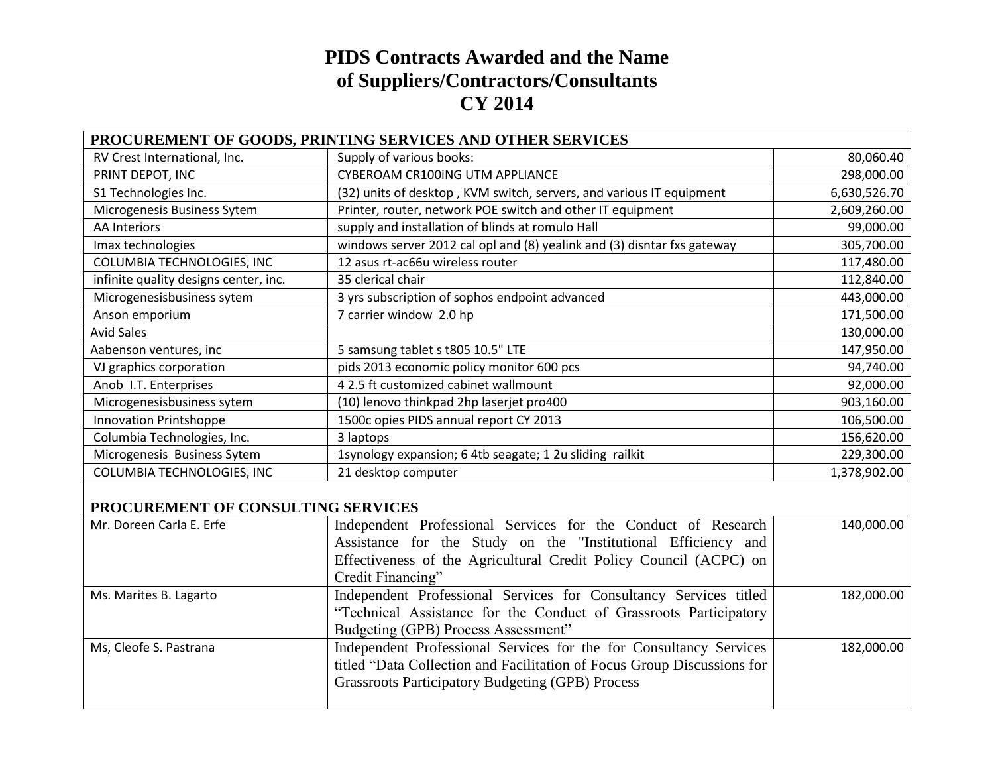## **PIDS Contracts Awarded and the Name of Suppliers/Contractors/Consultants CY 2014**

| PROCUREMENT OF GOODS, PRINTING SERVICES AND OTHER SERVICES |                                                                                                                                                                                                                          |              |  |
|------------------------------------------------------------|--------------------------------------------------------------------------------------------------------------------------------------------------------------------------------------------------------------------------|--------------|--|
| RV Crest International, Inc.                               | Supply of various books:                                                                                                                                                                                                 | 80,060.40    |  |
| PRINT DEPOT, INC                                           | CYBEROAM CR100ING UTM APPLIANCE                                                                                                                                                                                          | 298,000.00   |  |
| S1 Technologies Inc.                                       | (32) units of desktop, KVM switch, servers, and various IT equipment                                                                                                                                                     | 6,630,526.70 |  |
| Microgenesis Business Sytem                                | Printer, router, network POE switch and other IT equipment                                                                                                                                                               | 2,609,260.00 |  |
| <b>AA Interiors</b>                                        | supply and installation of blinds at romulo Hall                                                                                                                                                                         | 99,000.00    |  |
| Imax technologies                                          | windows server 2012 cal opl and (8) yealink and (3) disntar fxs gateway                                                                                                                                                  | 305,700.00   |  |
| COLUMBIA TECHNOLOGIES, INC                                 | 12 asus rt-ac66u wireless router                                                                                                                                                                                         | 117,480.00   |  |
| infinite quality designs center, inc.                      | 35 clerical chair                                                                                                                                                                                                        | 112,840.00   |  |
| Microgenesisbusiness sytem                                 | 3 yrs subscription of sophos endpoint advanced                                                                                                                                                                           | 443,000.00   |  |
| Anson emporium                                             | 7 carrier window 2.0 hp                                                                                                                                                                                                  | 171,500.00   |  |
| <b>Avid Sales</b>                                          |                                                                                                                                                                                                                          | 130,000.00   |  |
| Aabenson ventures, inc                                     | 5 samsung tablet s t805 10.5" LTE                                                                                                                                                                                        | 147,950.00   |  |
| VJ graphics corporation                                    | pids 2013 economic policy monitor 600 pcs                                                                                                                                                                                | 94,740.00    |  |
| Anob I.T. Enterprises                                      | 4 2.5 ft customized cabinet wallmount                                                                                                                                                                                    | 92,000.00    |  |
| Microgenesisbusiness sytem                                 | (10) lenovo thinkpad 2hp laserjet pro400                                                                                                                                                                                 | 903,160.00   |  |
| <b>Innovation Printshoppe</b>                              | 1500c opies PIDS annual report CY 2013                                                                                                                                                                                   | 106,500.00   |  |
| Columbia Technologies, Inc.                                | 3 laptops                                                                                                                                                                                                                | 156,620.00   |  |
| Microgenesis Business Sytem                                | 1synology expansion; 6 4tb seagate; 1 2u sliding railkit                                                                                                                                                                 | 229,300.00   |  |
| COLUMBIA TECHNOLOGIES, INC                                 | 21 desktop computer                                                                                                                                                                                                      | 1,378,902.00 |  |
| PROCUREMENT OF CONSULTING SERVICES                         |                                                                                                                                                                                                                          |              |  |
| Mr. Doreen Carla E. Erfe                                   | Independent Professional Services for the Conduct of Research<br>Assistance for the Study on the "Institutional Efficiency and<br>Effectiveness of the Agricultural Credit Policy Council (ACPC) on<br>Credit Financing" | 140,000.00   |  |
| Ms. Marites B. Lagarto                                     | Independent Professional Services for Consultancy Services titled<br>"Technical Assistance for the Conduct of Grassroots Participatory<br>Budgeting (GPB) Process Assessment"                                            | 182,000.00   |  |
| Ms, Cleofe S. Pastrana                                     | Independent Professional Services for the for Consultancy Services<br>titled "Data Collection and Facilitation of Focus Group Discussions for<br><b>Grassroots Participatory Budgeting (GPB) Process</b>                 | 182,000.00   |  |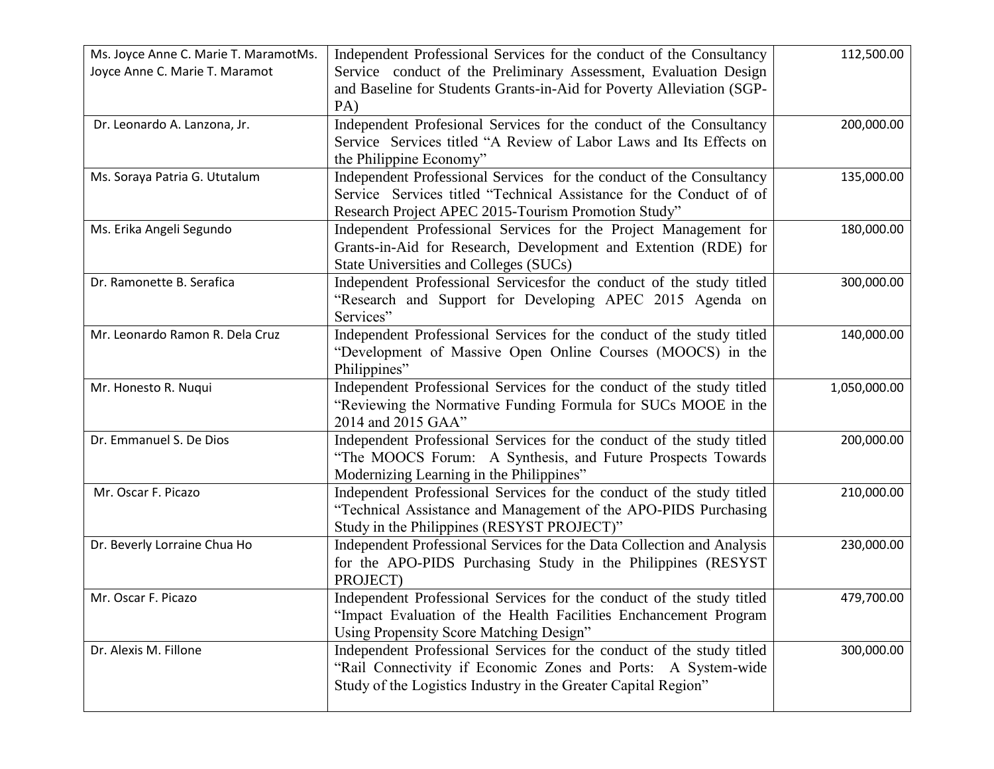| Ms. Joyce Anne C. Marie T. MaramotMs. | Independent Professional Services for the conduct of the Consultancy   | 112,500.00   |
|---------------------------------------|------------------------------------------------------------------------|--------------|
| Joyce Anne C. Marie T. Maramot        | Service conduct of the Preliminary Assessment, Evaluation Design       |              |
|                                       | and Baseline for Students Grants-in-Aid for Poverty Alleviation (SGP-  |              |
|                                       | PA)                                                                    |              |
| Dr. Leonardo A. Lanzona, Jr.          | Independent Profesional Services for the conduct of the Consultancy    | 200,000.00   |
|                                       | Service Services titled "A Review of Labor Laws and Its Effects on     |              |
|                                       | the Philippine Economy"                                                |              |
| Ms. Soraya Patria G. Ututalum         | Independent Professional Services for the conduct of the Consultancy   | 135,000.00   |
|                                       | Service Services titled "Technical Assistance for the Conduct of of    |              |
|                                       | Research Project APEC 2015-Tourism Promotion Study"                    |              |
| Ms. Erika Angeli Segundo              | Independent Professional Services for the Project Management for       | 180,000.00   |
|                                       | Grants-in-Aid for Research, Development and Extention (RDE) for        |              |
|                                       | State Universities and Colleges (SUCs)                                 |              |
| Dr. Ramonette B. Serafica             | Independent Professional Servicesfor the conduct of the study titled   | 300,000.00   |
|                                       | "Research and Support for Developing APEC 2015 Agenda on               |              |
|                                       | Services"                                                              |              |
| Mr. Leonardo Ramon R. Dela Cruz       | Independent Professional Services for the conduct of the study titled  | 140,000.00   |
|                                       | "Development of Massive Open Online Courses (MOOCS) in the             |              |
|                                       | Philippines"                                                           |              |
| Mr. Honesto R. Nuqui                  | Independent Professional Services for the conduct of the study titled  | 1,050,000.00 |
|                                       | "Reviewing the Normative Funding Formula for SUCs MOOE in the          |              |
|                                       | 2014 and 2015 GAA"                                                     |              |
| Dr. Emmanuel S. De Dios               | Independent Professional Services for the conduct of the study titled  | 200,000.00   |
|                                       | "The MOOCS Forum: A Synthesis, and Future Prospects Towards            |              |
|                                       | Modernizing Learning in the Philippines"                               |              |
| Mr. Oscar F. Picazo                   | Independent Professional Services for the conduct of the study titled  | 210,000.00   |
|                                       | "Technical Assistance and Management of the APO-PIDS Purchasing        |              |
|                                       | Study in the Philippines (RESYST PROJECT)"                             |              |
| Dr. Beverly Lorraine Chua Ho          | Independent Professional Services for the Data Collection and Analysis | 230,000.00   |
|                                       | for the APO-PIDS Purchasing Study in the Philippines (RESYST)          |              |
|                                       | PROJECT)                                                               |              |
| Mr. Oscar F. Picazo                   | Independent Professional Services for the conduct of the study titled  | 479,700.00   |
|                                       | "Impact Evaluation of the Health Facilities Enchancement Program       |              |
|                                       | Using Propensity Score Matching Design"                                |              |
| Dr. Alexis M. Fillone                 | Independent Professional Services for the conduct of the study titled  | 300,000.00   |
|                                       | "Rail Connectivity if Economic Zones and Ports: A System-wide          |              |
|                                       | Study of the Logistics Industry in the Greater Capital Region"         |              |
|                                       |                                                                        |              |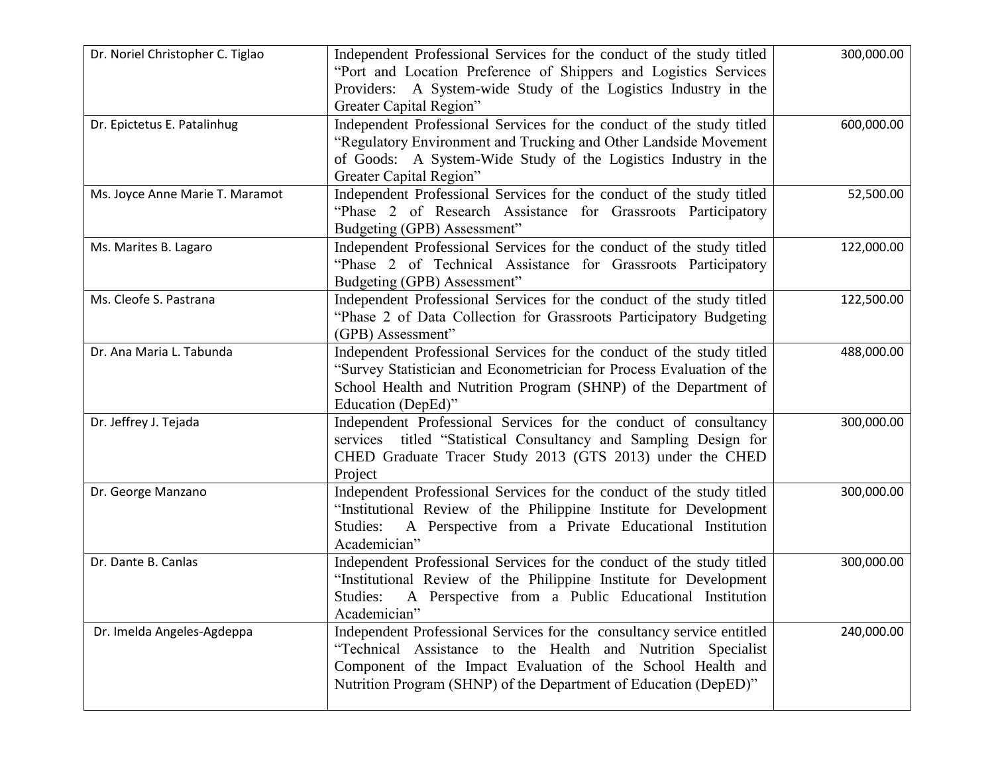| Dr. Noriel Christopher C. Tiglao | Independent Professional Services for the conduct of the study titled<br>"Port and Location Preference of Shippers and Logistics Services<br>Providers: A System-wide Study of the Logistics Industry in the<br>Greater Capital Region"                                   | 300,000.00 |
|----------------------------------|---------------------------------------------------------------------------------------------------------------------------------------------------------------------------------------------------------------------------------------------------------------------------|------------|
| Dr. Epictetus E. Patalinhug      | Independent Professional Services for the conduct of the study titled<br>"Regulatory Environment and Trucking and Other Landside Movement<br>of Goods: A System-Wide Study of the Logistics Industry in the<br>Greater Capital Region"                                    | 600,000.00 |
| Ms. Joyce Anne Marie T. Maramot  | Independent Professional Services for the conduct of the study titled<br>"Phase 2 of Research Assistance for Grassroots Participatory<br>Budgeting (GPB) Assessment"                                                                                                      | 52,500.00  |
| Ms. Marites B. Lagaro            | Independent Professional Services for the conduct of the study titled<br>"Phase 2 of Technical Assistance for Grassroots Participatory<br>Budgeting (GPB) Assessment"                                                                                                     | 122,000.00 |
| Ms. Cleofe S. Pastrana           | Independent Professional Services for the conduct of the study titled<br>"Phase 2 of Data Collection for Grassroots Participatory Budgeting<br>(GPB) Assessment"                                                                                                          | 122,500.00 |
| Dr. Ana Maria L. Tabunda         | Independent Professional Services for the conduct of the study titled<br>"Survey Statistician and Econometrician for Process Evaluation of the<br>School Health and Nutrition Program (SHNP) of the Department of<br>Education (DepEd)"                                   | 488,000.00 |
| Dr. Jeffrey J. Tejada            | Independent Professional Services for the conduct of consultancy<br>services titled "Statistical Consultancy and Sampling Design for<br>CHED Graduate Tracer Study 2013 (GTS 2013) under the CHED<br>Project                                                              | 300,000.00 |
| Dr. George Manzano               | Independent Professional Services for the conduct of the study titled<br>"Institutional Review of the Philippine Institute for Development<br>Studies:<br>A Perspective from a Private Educational Institution<br>Academician"                                            | 300,000.00 |
| Dr. Dante B. Canlas              | Independent Professional Services for the conduct of the study titled<br>"Institutional Review of the Philippine Institute for Development<br>Studies:<br>A Perspective from a Public Educational Institution<br>Academician"                                             | 300,000.00 |
| Dr. Imelda Angeles-Agdeppa       | Independent Professional Services for the consultancy service entitled<br>"Technical Assistance to the Health and Nutrition Specialist<br>Component of the Impact Evaluation of the School Health and<br>Nutrition Program (SHNP) of the Department of Education (DepED)" | 240,000.00 |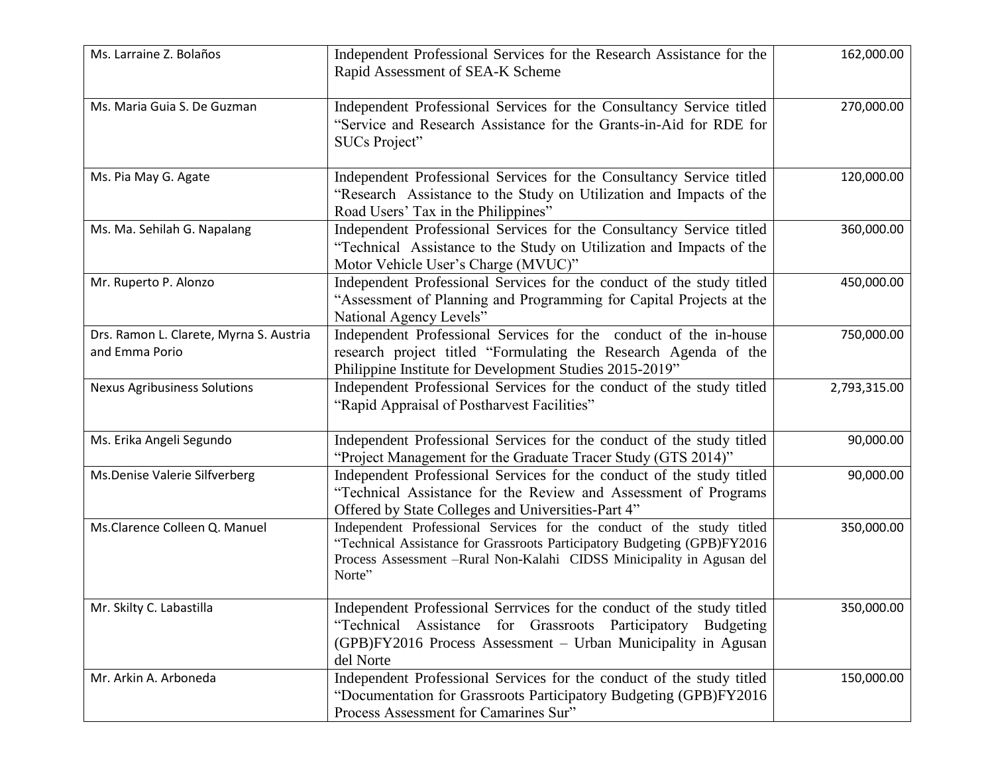| Ms. Larraine Z. Bolaños                                   | Independent Professional Services for the Research Assistance for the<br>Rapid Assessment of SEA-K Scheme                                                                                                                            | 162,000.00   |
|-----------------------------------------------------------|--------------------------------------------------------------------------------------------------------------------------------------------------------------------------------------------------------------------------------------|--------------|
| Ms. Maria Guia S. De Guzman                               | Independent Professional Services for the Consultancy Service titled<br>"Service and Research Assistance for the Grants-in-Aid for RDE for<br><b>SUCs Project"</b>                                                                   | 270,000.00   |
| Ms. Pia May G. Agate                                      | Independent Professional Services for the Consultancy Service titled<br>"Research Assistance to the Study on Utilization and Impacts of the<br>Road Users' Tax in the Philippines"                                                   | 120,000.00   |
| Ms. Ma. Sehilah G. Napalang                               | Independent Professional Services for the Consultancy Service titled<br>"Technical Assistance to the Study on Utilization and Impacts of the<br>Motor Vehicle User's Charge (MVUC)"                                                  | 360,000.00   |
| Mr. Ruperto P. Alonzo                                     | Independent Professional Services for the conduct of the study titled<br>"Assessment of Planning and Programming for Capital Projects at the<br>National Agency Levels"                                                              | 450,000.00   |
| Drs. Ramon L. Clarete, Myrna S. Austria<br>and Emma Porio | Independent Professional Services for the conduct of the in-house<br>research project titled "Formulating the Research Agenda of the<br>Philippine Institute for Development Studies 2015-2019"                                      | 750,000.00   |
| <b>Nexus Agribusiness Solutions</b>                       | Independent Professional Services for the conduct of the study titled<br>"Rapid Appraisal of Postharvest Facilities"                                                                                                                 | 2,793,315.00 |
| Ms. Erika Angeli Segundo                                  | Independent Professional Services for the conduct of the study titled<br>"Project Management for the Graduate Tracer Study (GTS 2014)"                                                                                               | 90,000.00    |
| Ms.Denise Valerie Silfverberg                             | Independent Professional Services for the conduct of the study titled<br>"Technical Assistance for the Review and Assessment of Programs<br>Offered by State Colleges and Universities-Part 4"                                       | 90,000.00    |
| Ms.Clarence Colleen Q. Manuel                             | Independent Professional Services for the conduct of the study titled<br>"Technical Assistance for Grassroots Participatory Budgeting (GPB)FY2016<br>Process Assessment -Rural Non-Kalahi CIDSS Minicipality in Agusan del<br>Norte" | 350,000.00   |
| Mr. Skilty C. Labastilla                                  | Independent Professional Serrvices for the conduct of the study titled<br>Assistance for Grassroots<br>"Technical<br>Participatory<br>Budgeting<br>(GPB)FY2016 Process Assessment - Urban Municipality in Agusan<br>del Norte        | 350,000.00   |
| Mr. Arkin A. Arboneda                                     | Independent Professional Services for the conduct of the study titled<br>"Documentation for Grassroots Participatory Budgeting (GPB)FY2016<br>Process Assessment for Camarines Sur"                                                  | 150,000.00   |